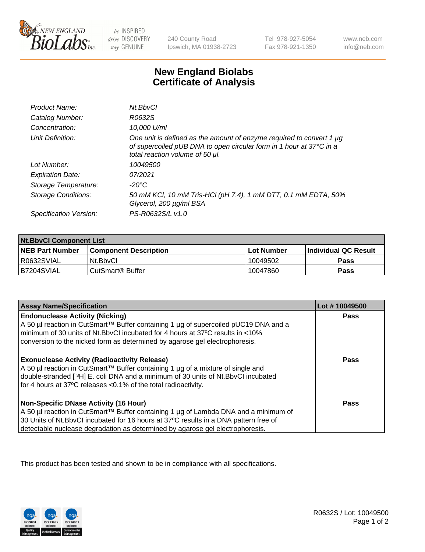

be INSPIRED drive DISCOVERY stay GENUINE

240 County Road Ipswich, MA 01938-2723

Tel 978-927-5054 Fax 978-921-1350

www.neb.com info@neb.com

## **New England Biolabs Certificate of Analysis**

| Product Name:           | Nt.BbvCl                                                                                                                                                                       |
|-------------------------|--------------------------------------------------------------------------------------------------------------------------------------------------------------------------------|
| Catalog Number:         | R0632S                                                                                                                                                                         |
| Concentration:          | 10,000 U/ml                                                                                                                                                                    |
| Unit Definition:        | One unit is defined as the amount of enzyme required to convert 1 µg<br>of supercoiled pUB DNA to open circular form in 1 hour at 37°C in a<br>total reaction volume of 50 µl. |
| Lot Number:             | 10049500                                                                                                                                                                       |
| <b>Expiration Date:</b> | 07/2021                                                                                                                                                                        |
| Storage Temperature:    | -20°C                                                                                                                                                                          |
| Storage Conditions:     | 50 mM KCl, 10 mM Tris-HCl (pH 7.4), 1 mM DTT, 0.1 mM EDTA, 50%<br>Glycerol, 200 µg/ml BSA                                                                                      |
| Specification Version:  | PS-R0632S/L v1.0                                                                                                                                                               |

| <b>Nt.BbvCl Component List</b> |                              |            |                             |  |
|--------------------------------|------------------------------|------------|-----------------------------|--|
| <b>NEB Part Number</b>         | <b>Component Description</b> | Lot Number | <b>Individual QC Result</b> |  |
| I R0632SVIAL                   | Nt.BbvCl                     | 10049502   | Pass                        |  |
| IB7204SVIAL                    | CutSmart® Buffer             | 10047860   | <b>Pass</b>                 |  |

| <b>Assay Name/Specification</b>                                                                                                                                                                                                                                                                                | Lot #10049500 |
|----------------------------------------------------------------------------------------------------------------------------------------------------------------------------------------------------------------------------------------------------------------------------------------------------------------|---------------|
| <b>Endonuclease Activity (Nicking)</b><br>A 50 µl reaction in CutSmart™ Buffer containing 1 µg of supercoiled pUC19 DNA and a<br>minimum of 30 units of Nt.BbvCI incubated for 4 hours at 37°C results in <10%<br>conversion to the nicked form as determined by agarose gel electrophoresis.                  | <b>Pass</b>   |
| <b>Exonuclease Activity (Radioactivity Release)</b><br>  A 50 µl reaction in CutSmart™ Buffer containing 1 µg of a mixture of single and<br>double-stranded [3H] E. coli DNA and a minimum of 30 units of Nt. BbvCl incubated<br>for 4 hours at 37°C releases <0.1% of the total radioactivity.                | <b>Pass</b>   |
| <b>Non-Specific DNase Activity (16 Hour)</b><br>  A 50 µl reaction in CutSmart™ Buffer containing 1 µg of Lambda DNA and a minimum of<br>30 Units of Nt.BbvCl incubated for 16 hours at 37°C results in a DNA pattern free of<br>detectable nuclease degradation as determined by agarose gel electrophoresis. | Pass          |

This product has been tested and shown to be in compliance with all specifications.